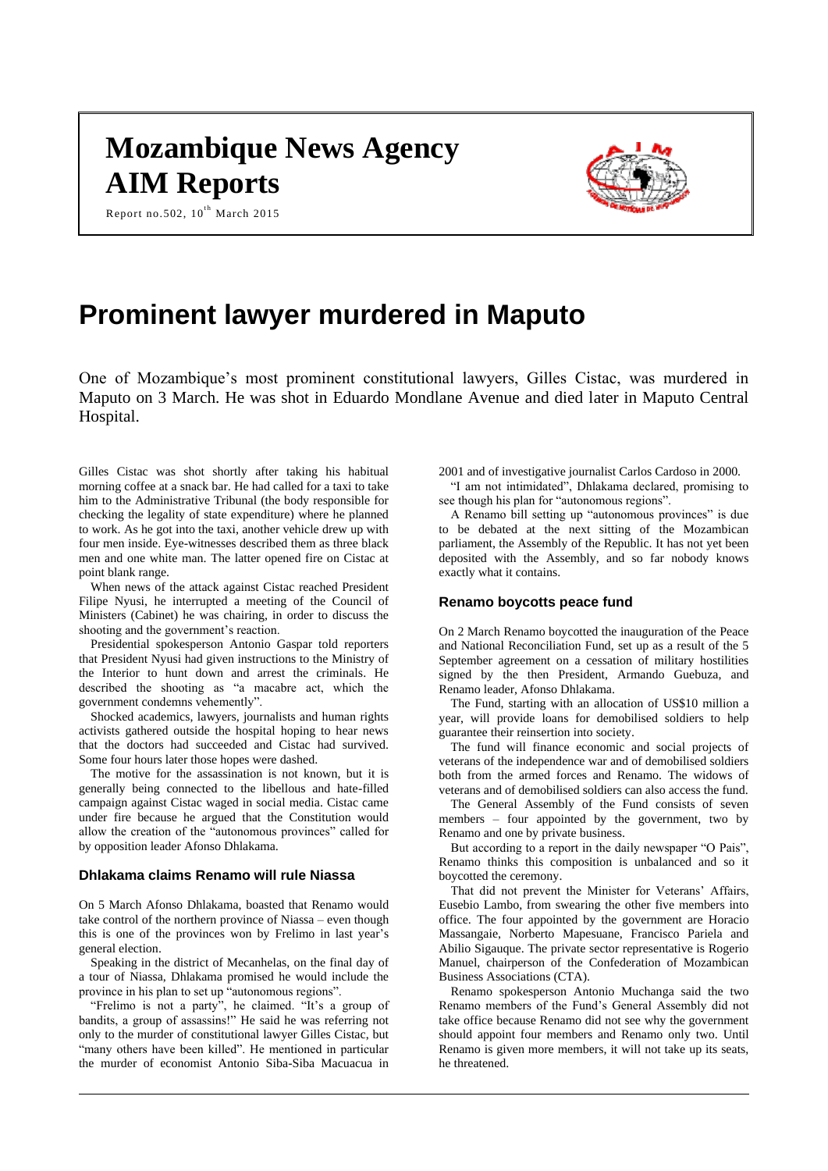# **Mozambique News Agency AIM Reports**



Report no.502,  $10^{th}$  March 2015

## **Prominent lawyer murdered in Maputo**

One of Mozambique's most prominent constitutional lawyers, Gilles Cistac, was murdered in Maputo on 3 March. He was shot in Eduardo Mondlane Avenue and died later in Maputo Central Hospital.

Gilles Cistac was shot shortly after taking his habitual morning coffee at a snack bar. He had called for a taxi to take him to the Administrative Tribunal (the body responsible for checking the legality of state expenditure) where he planned to work. As he got into the taxi, another vehicle drew up with four men inside. Eye-witnesses described them as three black men and one white man. The latter opened fire on Cistac at point blank range.

When news of the attack against Cistac reached President Filipe Nyusi, he interrupted a meeting of the Council of Ministers (Cabinet) he was chairing, in order to discuss the shooting and the government's reaction.

Presidential spokesperson Antonio Gaspar told reporters that President Nyusi had given instructions to the Ministry of the Interior to hunt down and arrest the criminals. He described the shooting as "a macabre act, which the government condemns vehemently".

Shocked academics, lawyers, journalists and human rights activists gathered outside the hospital hoping to hear news that the doctors had succeeded and Cistac had survived. Some four hours later those hopes were dashed.

The motive for the assassination is not known, but it is generally being connected to the libellous and hate-filled campaign against Cistac waged in social media. Cistac came under fire because he argued that the Constitution would allow the creation of the "autonomous provinces" called for by opposition leader Afonso Dhlakama.

#### **Dhlakama claims Renamo will rule Niassa**

On 5 March Afonso Dhlakama, boasted that Renamo would take control of the northern province of Niassa – even though this is one of the provinces won by Frelimo in last year's general election.

Speaking in the district of Mecanhelas, on the final day of a tour of Niassa, Dhlakama promised he would include the province in his plan to set up "autonomous regions".

"Frelimo is not a party", he claimed. "It's a group of bandits, a group of assassins!" He said he was referring not only to the murder of constitutional lawyer Gilles Cistac, but "many others have been killed". He mentioned in particular the murder of economist Antonio Siba-Siba Macuacua in

2001 and of investigative journalist Carlos Cardoso in 2000. "I am not intimidated", Dhlakama declared, promising to

see though his plan for "autonomous regions". A Renamo bill setting up "autonomous provinces" is due to be debated at the next sitting of the Mozambican parliament, the Assembly of the Republic. It has not yet been deposited with the Assembly, and so far nobody knows

#### **Renamo boycotts peace fund**

exactly what it contains.

On 2 March Renamo boycotted the inauguration of the Peace and National Reconciliation Fund, set up as a result of the 5 September agreement on a cessation of military hostilities signed by the then President, Armando Guebuza, and Renamo leader, Afonso Dhlakama.

The Fund, starting with an allocation of US\$10 million a year, will provide loans for demobilised soldiers to help guarantee their reinsertion into society.

The fund will finance economic and social projects of veterans of the independence war and of demobilised soldiers both from the armed forces and Renamo. The widows of veterans and of demobilised soldiers can also access the fund.

The General Assembly of the Fund consists of seven members – four appointed by the government, two by Renamo and one by private business.

But according to a report in the daily newspaper "O Pais", Renamo thinks this composition is unbalanced and so it boycotted the ceremony.

That did not prevent the Minister for Veterans' Affairs, Eusebio Lambo, from swearing the other five members into office. The four appointed by the government are Horacio Massangaie, Norberto Mapesuane, Francisco Pariela and Abilio Sigauque. The private sector representative is Rogerio Manuel, chairperson of the Confederation of Mozambican Business Associations (CTA).

Renamo spokesperson Antonio Muchanga said the two Renamo members of the Fund's General Assembly did not take office because Renamo did not see why the government should appoint four members and Renamo only two. Until Renamo is given more members, it will not take up its seats, he threatened.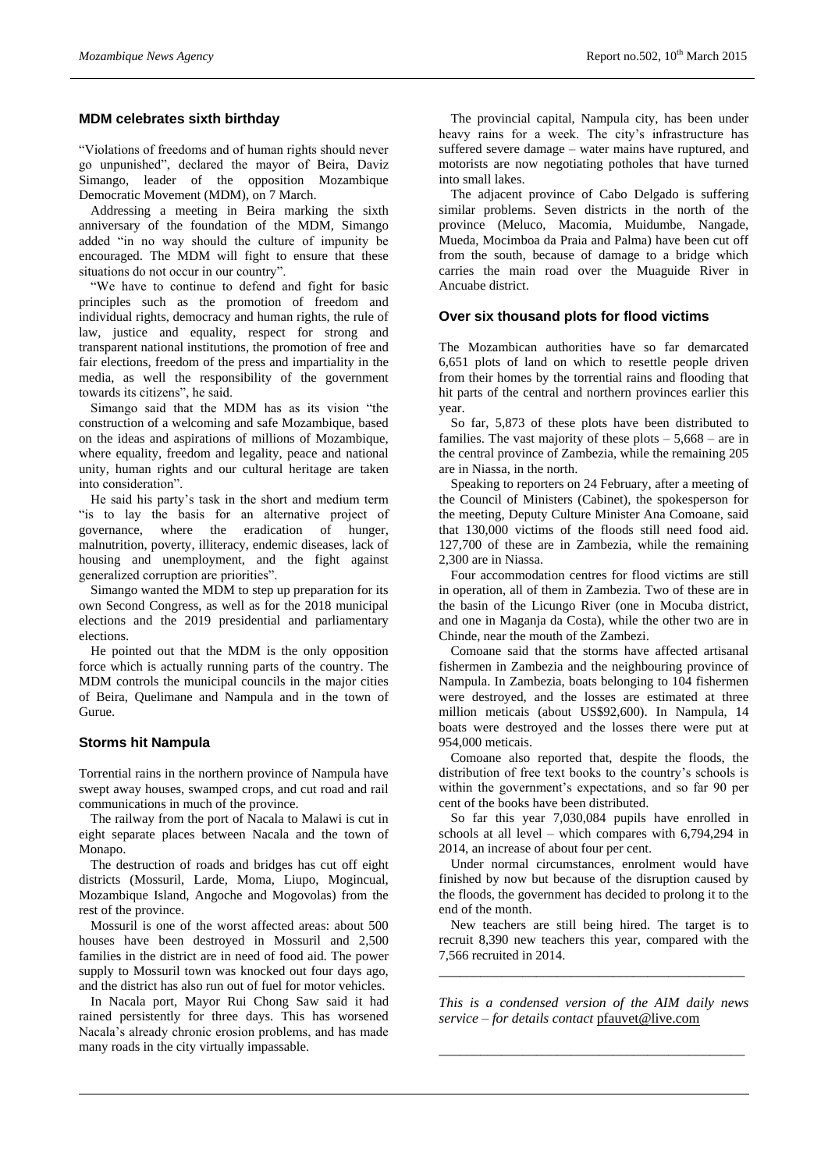#### **MDM celebrates sixth birthday**

"Violations of freedoms and of human rights should never go unpunished", declared the mayor of Beira, Daviz Simango, leader of the opposition Mozambique Democratic Movement (MDM), on 7 March.

Addressing a meeting in Beira marking the sixth anniversary of the foundation of the MDM, Simango added "in no way should the culture of impunity be encouraged. The MDM will fight to ensure that these situations do not occur in our country".

"We have to continue to defend and fight for basic principles such as the promotion of freedom and individual rights, democracy and human rights, the rule of law, justice and equality, respect for strong and transparent national institutions, the promotion of free and fair elections, freedom of the press and impartiality in the media, as well the responsibility of the government towards its citizens", he said.

Simango said that the MDM has as its vision "the construction of a welcoming and safe Mozambique, based on the ideas and aspirations of millions of Mozambique, where equality, freedom and legality, peace and national unity, human rights and our cultural heritage are taken into consideration".

He said his party's task in the short and medium term "is to lay the basis for an alternative project of governance, where the eradication of hunger, malnutrition, poverty, illiteracy, endemic diseases, lack of housing and unemployment, and the fight against generalized corruption are priorities".

Simango wanted the MDM to step up preparation for its own Second Congress, as well as for the 2018 municipal elections and the 2019 presidential and parliamentary elections.

He pointed out that the MDM is the only opposition force which is actually running parts of the country. The MDM controls the municipal councils in the major cities of Beira, Quelimane and Nampula and in the town of Gurue.

#### **Storms hit Nampula**

Torrential rains in the northern province of Nampula have swept away houses, swamped crops, and cut road and rail communications in much of the province.

The railway from the port of Nacala to Malawi is cut in eight separate places between Nacala and the town of Monapo.

The destruction of roads and bridges has cut off eight districts (Mossuril, Larde, Moma, Liupo, Mogincual, Mozambique Island, Angoche and Mogovolas) from the rest of the province.

Mossuril is one of the worst affected areas: about 500 houses have been destroyed in Mossuril and 2,500 families in the district are in need of food aid. The power supply to Mossuril town was knocked out four days ago, and the district has also run out of fuel for motor vehicles.

In Nacala port, Mayor Rui Chong Saw said it had rained persistently for three days. This has worsened Nacala's already chronic erosion problems, and has made many roads in the city virtually impassable.

The provincial capital, Nampula city, has been under heavy rains for a week. The city's infrastructure has suffered severe damage – water mains have ruptured, and motorists are now negotiating potholes that have turned into small lakes.

The adjacent province of Cabo Delgado is suffering similar problems. Seven districts in the north of the province (Meluco, Macomia, Muidumbe, Nangade, Mueda, Mocimboa da Praia and Palma) have been cut off from the south, because of damage to a bridge which carries the main road over the Muaguide River in Ancuabe district.

#### **Over six thousand plots for flood victims**

The Mozambican authorities have so far demarcated 6,651 plots of land on which to resettle people driven from their homes by the torrential rains and flooding that hit parts of the central and northern provinces earlier this year.

So far, 5,873 of these plots have been distributed to families. The vast majority of these plots  $-5,668$  – are in the central province of Zambezia, while the remaining 205 are in Niassa, in the north.

Speaking to reporters on 24 February, after a meeting of the Council of Ministers (Cabinet), the spokesperson for the meeting, Deputy Culture Minister Ana Comoane, said that 130,000 victims of the floods still need food aid. 127,700 of these are in Zambezia, while the remaining 2,300 are in Niassa.

Four accommodation centres for flood victims are still in operation, all of them in Zambezia. Two of these are in the basin of the Licungo River (one in Mocuba district, and one in Maganja da Costa), while the other two are in Chinde, near the mouth of the Zambezi.

Comoane said that the storms have affected artisanal fishermen in Zambezia and the neighbouring province of Nampula. In Zambezia, boats belonging to 104 fishermen were destroyed, and the losses are estimated at three million meticais (about US\$92,600). In Nampula, 14 boats were destroyed and the losses there were put at 954,000 meticais.

Comoane also reported that, despite the floods, the distribution of free text books to the country's schools is within the government's expectations, and so far 90 per cent of the books have been distributed.

So far this year 7,030,084 pupils have enrolled in schools at all level – which compares with 6,794,294 in 2014, an increase of about four per cent.

Under normal circumstances, enrolment would have finished by now but because of the disruption caused by the floods, the government has decided to prolong it to the end of the month.

New teachers are still being hired. The target is to recruit 8,390 new teachers this year, compared with the 7,566 recruited in 2014.

*\_\_\_\_\_\_\_\_\_\_\_\_\_\_\_\_\_\_\_\_\_\_\_\_\_\_\_\_\_\_\_\_\_\_\_\_\_\_\_\_\_\_\_\_*

*This is a condensed version of the AIM daily news service – for details contact* [pfauvet@live.com](mailto:pfauvet@live.com)

*\_\_\_\_\_\_\_\_\_\_\_\_\_\_\_\_\_\_\_\_\_\_\_\_\_\_\_\_\_\_\_\_\_\_\_\_\_\_\_\_\_\_\_\_*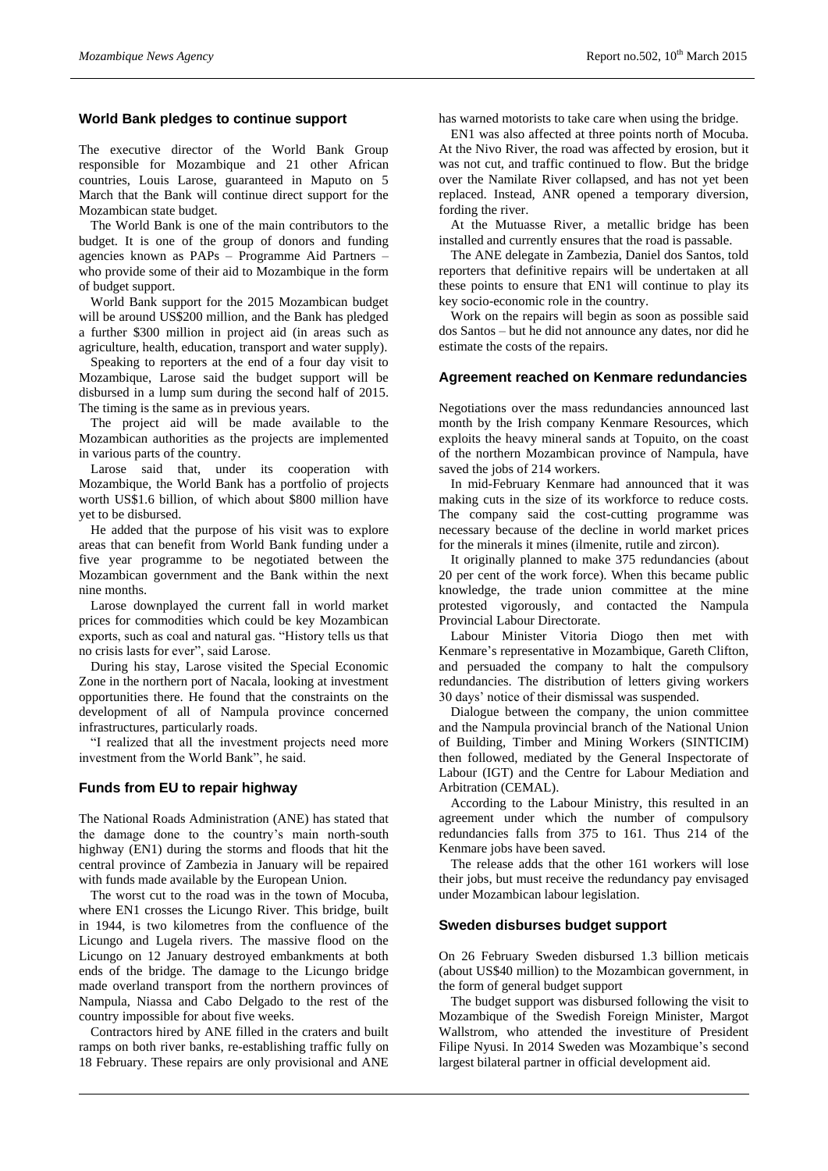#### **World Bank pledges to continue support**

The executive director of the World Bank Group responsible for Mozambique and 21 other African countries, Louis Larose, guaranteed in Maputo on 5 March that the Bank will continue direct support for the Mozambican state budget.

The World Bank is one of the main contributors to the budget. It is one of the group of donors and funding agencies known as PAPs – Programme Aid Partners – who provide some of their aid to Mozambique in the form of budget support.

World Bank support for the 2015 Mozambican budget will be around US\$200 million, and the Bank has pledged a further \$300 million in project aid (in areas such as agriculture, health, education, transport and water supply).

Speaking to reporters at the end of a four day visit to Mozambique, Larose said the budget support will be disbursed in a lump sum during the second half of 2015. The timing is the same as in previous years.

The project aid will be made available to the Mozambican authorities as the projects are implemented in various parts of the country.

Larose said that, under its cooperation with Mozambique, the World Bank has a portfolio of projects worth US\$1.6 billion, of which about \$800 million have yet to be disbursed.

He added that the purpose of his visit was to explore areas that can benefit from World Bank funding under a five year programme to be negotiated between the Mozambican government and the Bank within the next nine months.

Larose downplayed the current fall in world market prices for commodities which could be key Mozambican exports, such as coal and natural gas. "History tells us that no crisis lasts for ever", said Larose.

During his stay, Larose visited the Special Economic Zone in the northern port of Nacala, looking at investment opportunities there. He found that the constraints on the development of all of Nampula province concerned infrastructures, particularly roads.

"I realized that all the investment projects need more investment from the World Bank", he said.

#### **Funds from EU to repair highway**

The National Roads Administration (ANE) has stated that the damage done to the country's main north-south highway (EN1) during the storms and floods that hit the central province of Zambezia in January will be repaired with funds made available by the European Union.

The worst cut to the road was in the town of Mocuba, where EN1 crosses the Licungo River. This bridge, built in 1944, is two kilometres from the confluence of the Licungo and Lugela rivers. The massive flood on the Licungo on 12 January destroyed embankments at both ends of the bridge. The damage to the Licungo bridge made overland transport from the northern provinces of Nampula, Niassa and Cabo Delgado to the rest of the country impossible for about five weeks.

Contractors hired by ANE filled in the craters and built ramps on both river banks, re-establishing traffic fully on 18 February. These repairs are only provisional and ANE

has warned motorists to take care when using the bridge.

EN1 was also affected at three points north of Mocuba. At the Nivo River, the road was affected by erosion, but it was not cut, and traffic continued to flow. But the bridge over the Namilate River collapsed, and has not yet been replaced. Instead, ANR opened a temporary diversion, fording the river.

At the Mutuasse River, a metallic bridge has been installed and currently ensures that the road is passable.

The ANE delegate in Zambezia, Daniel dos Santos, told reporters that definitive repairs will be undertaken at all these points to ensure that EN1 will continue to play its key socio-economic role in the country.

Work on the repairs will begin as soon as possible said dos Santos – but he did not announce any dates, nor did he estimate the costs of the repairs.

#### **Agreement reached on Kenmare redundancies**

Negotiations over the mass redundancies announced last month by the Irish company Kenmare Resources, which exploits the heavy mineral sands at Topuito, on the coast of the northern Mozambican province of Nampula, have saved the jobs of 214 workers.

In mid-February Kenmare had announced that it was making cuts in the size of its workforce to reduce costs. The company said the cost-cutting programme was necessary because of the decline in world market prices for the minerals it mines (ilmenite, rutile and zircon).

It originally planned to make 375 redundancies (about 20 per cent of the work force). When this became public knowledge, the trade union committee at the mine protested vigorously, and contacted the Nampula Provincial Labour Directorate.

Labour Minister Vitoria Diogo then met with Kenmare's representative in Mozambique, Gareth Clifton, and persuaded the company to halt the compulsory redundancies. The distribution of letters giving workers 30 days' notice of their dismissal was suspended.

Dialogue between the company, the union committee and the Nampula provincial branch of the National Union of Building, Timber and Mining Workers (SINTICIM) then followed, mediated by the General Inspectorate of Labour (IGT) and the Centre for Labour Mediation and Arbitration (CEMAL).

According to the Labour Ministry, this resulted in an agreement under which the number of compulsory redundancies falls from 375 to 161. Thus 214 of the Kenmare jobs have been saved.

The release adds that the other 161 workers will lose their jobs, but must receive the redundancy pay envisaged under Mozambican labour legislation.

#### **Sweden disburses budget support**

On 26 February Sweden disbursed 1.3 billion meticais (about US\$40 million) to the Mozambican government, in the form of general budget support

The budget support was disbursed following the visit to Mozambique of the Swedish Foreign Minister, Margot Wallstrom, who attended the investiture of President Filipe Nyusi. In 2014 Sweden was Mozambique's second largest bilateral partner in official development aid.